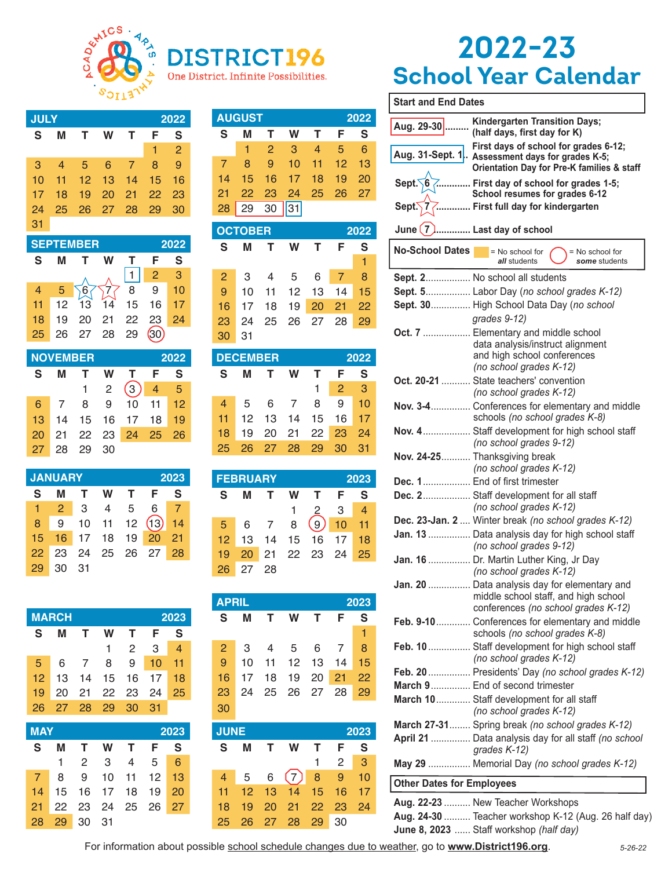

D

#### **JULY** 2022  $\overline{\mathbf{s}}$  $\overline{\mathbf{s}}$ M T W T F  $\overline{2}$  $\overline{1}$ 3 5 8  $\overline{9}$  $\overline{4}$ 6  $\overline{7}$  $10$  $11$  $12$  $13$ 14 15 16  $17$  $18$ 19 20  $21$ 22 23 24 25 26 27 28 29 30  $31$ **SEPTEMBER** 2022 S M T W  $\mathsf{T}$ F S

 $\overline{1}$  $\overline{2}$ 3  $\,8\,$  $\boldsymbol{9}$  $\overline{4}$  $\sqrt{6}$  $10$ 5  $13$  $11$  $12$  $14$ 15 16  $17$ 19 20 21 22 23 24 18 25 26 28 29  $(30)$ 27

|    | <b>NOVEMBER</b> |      |                |                        | 2022                   |                 |
|----|-----------------|------|----------------|------------------------|------------------------|-----------------|
| S. | м               | T.   | W              | $\mathbf{T}$           | - F                    | S               |
|    |                 |      | $\overline{2}$ | 3                      |                        | $4\overline{5}$ |
| 6. | <sup>7</sup>    | 8    | 9              |                        | $10 \quad 11 \quad 12$ |                 |
|    |                 |      |                | 13 14 15 16 17 18 19   |                        |                 |
| 20 |                 |      |                | 21  22  23  24  25  26 |                        |                 |
| 27 | 28              | - 29 | - 30           |                        |                        |                 |

| <b>JANUARY</b>  |                |                |     |              |                            | 2023 |
|-----------------|----------------|----------------|-----|--------------|----------------------------|------|
| S               | м              | T              | W   | $\mathbf{T}$ | - F                        | S    |
| 47              | $\overline{2}$ | $\overline{3}$ | 4 5 |              | 6 7                        |      |
| 8               | 9              |                |     |              | $10$ $11$ $12$ $(13)$ $14$ |      |
| 15 <sup>1</sup> |                |                |     |              | 16 17 18 19 20 21          |      |
| $22-$           | 23             |                |     |              | 24 25 26 27 28             |      |
| 29              | 30             | - 31           |     |              |                            |      |

|                 | <b>MARCH</b> |                |               |               |      | 2023 |
|-----------------|--------------|----------------|---------------|---------------|------|------|
| S               | м            |                | W             | т             | F    | S    |
|                 |              |                | 1             | $\mathcal{P}$ | 3    | 4    |
| 5.              | 6            | $\overline{7}$ | 8             | 9             | 10   | 11   |
| 12 <sup>2</sup> | 13           | 14             |               | 15 16         | 17   | 18   |
| 19              | 20           |                | 21 22 23      |               | 24   | 25   |
| 26              | 27           | - 28           | $^{\circ}$ 29 | 30            | - 31 |      |

| <b>MAY</b>  |                        |     |         |                      | 2023 |
|-------------|------------------------|-----|---------|----------------------|------|
| S           | м                      |     | T W T F |                      | - S  |
|             |                        | - 2 |         | 3 4 5 6              |      |
| $7^{\circ}$ |                        |     |         | 8 9 10 11 12 13      |      |
|             |                        |     |         | 14 15 16 17 18 19 20 |      |
| 21.         |                        |     |         | 22 23 24 25 26 27    |      |
| 28          | $29 \quad 30 \quad 31$ |     |         |                      |      |

| <b>AUGUST</b><br>2022 |  |          |         |  |                         |   |
|-----------------------|--|----------|---------|--|-------------------------|---|
| S                     |  |          | T W T F |  |                         | S |
|                       |  |          |         |  | $1 \t2 \t3 \t4 \t5 \t6$ |   |
|                       |  |          |         |  | 8 9 10 11 12 13         |   |
|                       |  |          |         |  | 14 15 16 17 18 19 20    |   |
| 21                    |  |          |         |  | 22 23 24 25 26 27       |   |
| 28                    |  | 29 30 31 |         |  |                         |   |

One District. Infinite Possibilities.

|                 | <b>OCTOBER</b> |                |     |                   | 2022           |    |
|-----------------|----------------|----------------|-----|-------------------|----------------|----|
| S               | м              |                | T W | T F               |                | S  |
|                 |                |                |     |                   |                | 1  |
| $\mathbf{P}$    | $\mathbf{3}$   | $\overline{4}$ | 5 6 |                   | $\blacksquare$ | -8 |
| 9               |                |                |     | 10 11 12 13 14 15 |                |    |
| 16 <sup>1</sup> |                |                |     | 17 18 19 20 21 22 |                |    |
| 23              | 24             |                |     |                   |                |    |
| 30              | 31             |                |     |                   |                |    |

|    | <b>DECEMBER</b> |  |  |                            | 2022            |  |
|----|-----------------|--|--|----------------------------|-----------------|--|
| S. |                 |  |  | M T W T F S                |                 |  |
|    |                 |  |  |                            | $1\quad2\quad3$ |  |
|    |                 |  |  | 4 5 6 7 8 9 10             |                 |  |
|    |                 |  |  | 11 12 13 14 15 16 17       |                 |  |
|    |                 |  |  | 18 19 20 21 22 23 24       |                 |  |
|    |                 |  |  | 25  26  27  28  29  30  31 |                 |  |

|                 | <b>FEBRUARY</b> |                 |   |                   |             | 2023           |
|-----------------|-----------------|-----------------|---|-------------------|-------------|----------------|
| S.              | м               | $\mathbf{T}$    | W | T                 | - F -       | $\mathbf{s}$   |
|                 |                 |                 |   |                   | 2 3         | $\overline{4}$ |
| 5 <sup>1</sup>  | $6\overline{6}$ | $7\overline{ }$ | 8 |                   | $(9)$ 10 11 |                |
| 12 <sup>7</sup> |                 |                 |   | 13 14 15 16 17 18 |             |                |
| 19              |                 |                 |   | 20 21 22 23 24 25 |             |                |
| 26              | 27 28           |                 |   |                   |             |                |

| <b>APRIL</b><br>2023 |              |                |   |              |                |   |
|----------------------|--------------|----------------|---|--------------|----------------|---|
| $\mathbf{s}$         | м            | T.             | W | $\mathbf{T}$ | F              | S |
|                      |              |                |   |              |                | 1 |
| $\mathbf{P}$         | $\mathbf{3}$ | $\overline{4}$ | 5 |              | 6 7            | 8 |
| 9 <sup>°</sup>       | 10           |                |   |              | 11 12 13 14 15 |   |
| 16                   | 17           |                |   |              | 18 19 20 21 22 |   |
| 23                   | 24           |                |   |              | 25 26 27 28 29 |   |
| 30                   |              |                |   |              |                |   |

| <b>JUNE</b> |                |       |          |                 |              | 2023 |
|-------------|----------------|-------|----------|-----------------|--------------|------|
| S           | м              | т     | W        |                 | F            | S    |
|             |                |       |          | 1.              | 2            | -3   |
| 4           | 5 <sup>1</sup> | 6     |          |                 | $(7)$ 8 9 10 |      |
| 11          | $12-12$        |       | 13 14    | 15 <sup>2</sup> | 16           | 17   |
| 18          | 19             | 20    | 21 22 23 |                 |              | 24   |
| 25          | 26             | 27 28 |          | 29              | 30           |      |

# 2022-23 **School Year Calendar**

| <b>Start and End Dates</b>       |                                                                                                                                         |
|----------------------------------|-----------------------------------------------------------------------------------------------------------------------------------------|
| Aug. 29-30                       | <b>Kindergarten Transition Days;</b><br>(half days, first day for K)                                                                    |
|                                  | First days of school for grades 6-12;<br>Aug. 31-Sept. 1. Assessment days for grades K-5;<br>Orientation Day for Pre-K families & staff |
|                                  | Sept. 6  First day of school for grades 1-5;<br>School resumes for grades 6-12                                                          |
| Sept. $\sqrt{7}$                 | First full day for kindergarten                                                                                                         |
| June $(7)$                       | I Last day of school                                                                                                                    |
| <b>No-School Dates</b>           | = No school for<br>$=$ No school for<br>all students<br>some students                                                                   |
|                                  | Sept. 2 No school all students                                                                                                          |
|                                  | Sept. 5 Labor Day (no school grades K-12)                                                                                               |
|                                  | Sept. 30 High School Data Day (no school                                                                                                |
|                                  | grades 9-12)                                                                                                                            |
|                                  | Oct. 7  Elementary and middle school<br>data analysis/instruct alignment<br>and high school conferences                                 |
|                                  | (no school grades K-12)                                                                                                                 |
|                                  | Oct. 20-21  State teachers' convention<br>(no school grades K-12)                                                                       |
|                                  | Nov. 3-4 Conferences for elementary and middle<br>schools (no school grades K-8)                                                        |
|                                  | Nov. 4 Staff development for high school staff<br>(no school grades 9-12)                                                               |
|                                  | Nov. 24-25 Thanksgiving break<br>(no school grades K-12)                                                                                |
|                                  | Dec. 1 End of first trimester                                                                                                           |
|                                  | Dec. 2 Staff development for all staff<br>(no school grades K-12)                                                                       |
|                                  | Dec. 23-Jan. 2  Winter break (no school grades K-12)                                                                                    |
|                                  | Jan. 13  Data analysis day for high school staff<br>(no school grades 9-12)                                                             |
|                                  | Jan. 16  Dr. Martin Luther King, Jr Day<br>(no school grades K-12)                                                                      |
|                                  | Jan. 20  Data analysis day for elementary and<br>middle school staff, and high school<br>conferences (no school grades K-12)            |
|                                  | Feb. 9-10 Conferences for elementary and middle<br>schools (no school grades K-8)                                                       |
|                                  | Feb. 10  Staff development for high school staff<br>(no school grades K-12)                                                             |
|                                  | Feb. 20  Presidents' Day (no school grades K-12)                                                                                        |
|                                  | March 9 End of second trimester                                                                                                         |
|                                  | March 10 Staff development for all staff                                                                                                |
|                                  | (no school grades K-12)                                                                                                                 |
|                                  | March 27-31 Spring break (no school grades K-12)                                                                                        |
|                                  | April 21  Data analysis day for all staff (no school<br>grades K-12)                                                                    |
|                                  | May 29  Memorial Day (no school grades K-12)                                                                                            |
| <b>Other Dates for Employees</b> |                                                                                                                                         |
|                                  | Aug. 22-23  New Teacher Workshops                                                                                                       |
|                                  | Aug. 24-30  Teacher workshop K-12 (Aug. 26 half day)                                                                                    |

June 8, 2023 ...... Staff workshop (half day)